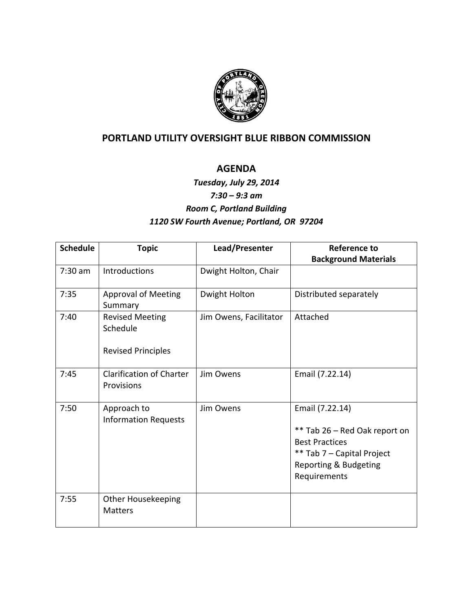

## **PORTLAND UTILITY OVERSIGHT BLUE RIBBON COMMISSION**

## **AGENDA**

## *Tuesday, July 29, 2014 7:30 – 9:3 am Room C, Portland Building 1120 SW Fourth Avenue; Portland, OR 97204*

| <b>Schedule</b> | <b>Topic</b>                                                    | Lead/Presenter         | <b>Reference to</b>                                                                                                                              |
|-----------------|-----------------------------------------------------------------|------------------------|--------------------------------------------------------------------------------------------------------------------------------------------------|
|                 |                                                                 |                        | <b>Background Materials</b>                                                                                                                      |
| $7:30$ am       | <b>Introductions</b>                                            | Dwight Holton, Chair   |                                                                                                                                                  |
| 7:35            | <b>Approval of Meeting</b><br>Summary                           | Dwight Holton          | Distributed separately                                                                                                                           |
| 7:40            | <b>Revised Meeting</b><br>Schedule<br><b>Revised Principles</b> | Jim Owens, Facilitator | Attached                                                                                                                                         |
| 7:45            | <b>Clarification of Charter</b><br>Provisions                   | Jim Owens              | Email (7.22.14)                                                                                                                                  |
| 7:50            | Approach to<br><b>Information Requests</b>                      | Jim Owens              | Email (7.22.14)<br>** Tab 26 - Red Oak report on<br><b>Best Practices</b><br>** Tab 7 - Capital Project<br>Reporting & Budgeting<br>Requirements |
| 7:55            | <b>Other Housekeeping</b><br><b>Matters</b>                     |                        |                                                                                                                                                  |